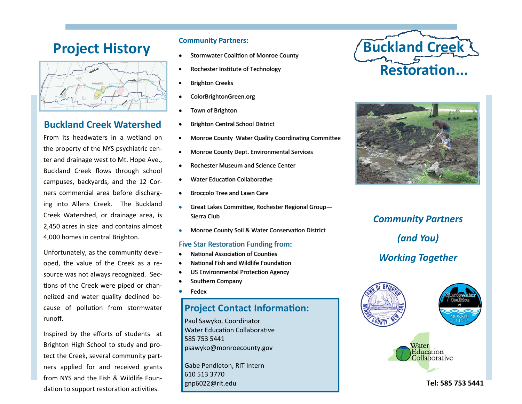# **Project History Community Partners:**



# **Buckland Creek Watershed**

From its headwaters in <sup>a</sup> wetland on the property of the NYS psychiatric cen‐ ter and drainage west to Mt. Hope Ave., Buckland Creek flows through school campuses, backyards, and the 12 Cor‐ ners commercial area before discharg‐ ing into Allens Creek. The Buckland Creek Watershed, or drainage area, is 2,450 acres in size and contains almost 4,000 homes in central Brighton.

Unfortunately, as the community devel‐ oped, the value of the Creek as <sup>a</sup> re‐ source was not always recognized. Sec‐ tions of the Creek were piped or channelized and water quality declined be‐ cause of pollution from stormwater runoff.

Inspired by the <sup>e</sup>fforts of students at Brighton High School to study and pro‐ tect the Creek, several community part‐ ners applied for and received grants from NYS and the Fish & Wildlife Foun‐ dation to support restoration activities.

- **Stormwater Coalition of Monroe County**
- $\bullet$ Rochester Institute of Technology
- $\bullet$ Brighton Creeks
- e ColorBrightonGreen.org
- e Town of Brighton
- c Brighton Central School District
- $\bullet$ Monroe County Water Quality Coordinating Committee
- $\bullet$ Monroe County Dept. Environmental Services
- c • Rochester Museum and Science Center
- e • Water Education Collaborative
- e **• Broccolo Tree and Lawn Care**
- e Great Lakes Committee, Rochester Regional Group-Sierra Club
- e • Monroe County Soil & Water Conservation District

#### Five Star Restoration Funding from:

- e • National Association of Counties
- e • National Fish and Wildlife Foundation
- c • US Environmental Protection Agency
- c • Southern Company
- $\bullet$ Fedex

# **Project Contact Information:**

Paul Sawyko, Coordinator Water Education Collaborative 585 753 5441 psawyko@monroecounty.gov

Gabe Pendleton, RIT Intern 610 513 3770 gnp6022@rit.edu





# *Community Partners (and You) Working Together*